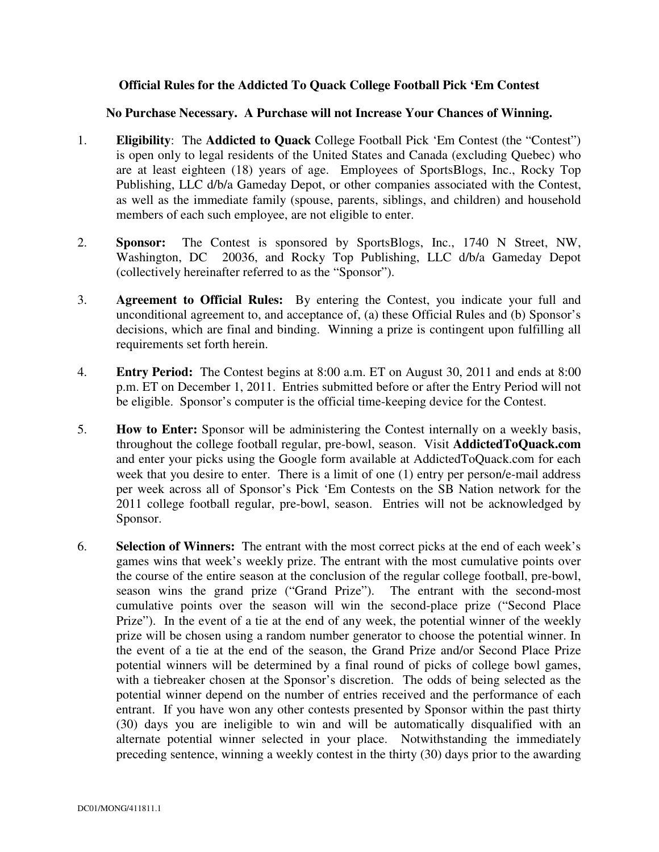## **Official Rules for the Addicted To Quack College Football Pick 'Em Contest**

## **No Purchase Necessary. A Purchase will not Increase Your Chances of Winning.**

- 1. **Eligibility**: The **Addicted to Quack** College Football Pick 'Em Contest (the "Contest") is open only to legal residents of the United States and Canada (excluding Quebec) who are at least eighteen (18) years of age. Employees of SportsBlogs, Inc., Rocky Top Publishing, LLC d/b/a Gameday Depot, or other companies associated with the Contest, as well as the immediate family (spouse, parents, siblings, and children) and household members of each such employee, are not eligible to enter.
- 2. **Sponsor:** The Contest is sponsored by SportsBlogs, Inc., 1740 N Street, NW, Washington, DC 20036, and Rocky Top Publishing, LLC d/b/a Gameday Depot 20036, and Rocky Top Publishing, LLC d/b/a Gameday Depot (collectively hereinafter referred to as the "Sponsor").
- 3. **Agreement to Official Rules:** By entering the Contest, you indicate your full and unconditional agreement to, and acceptance of, (a) these Official Rules and (b) Sponsor's decisions, which are final and binding. Winning a prize is contingent upon fulfilling all requirements set forth herein.
- 4. **Entry Period:** The Contest begins at 8:00 a.m. ET on August 30, 2011 and ends at 8:00 p.m. ET on December 1, 2011. Entries submitted before or after the Entry Period will not be eligible. Sponsor's computer is the official time-keeping device for the Contest.
- 5. **How to Enter:** Sponsor will be administering the Contest internally on a weekly basis, throughout the college football regular, pre-bowl, season. Visit **AddictedToQuack.com** and enter your picks using the Google form available at AddictedToQuack.com for each week that you desire to enter. There is a limit of one (1) entry per person/e-mail address per week across all of Sponsor's Pick 'Em Contests on the SB Nation network for the 2011 college football regular, pre-bowl, season. Entries will not be acknowledged by Sponsor.
- 6. **Selection of Winners:** The entrant with the most correct picks at the end of each week's games wins that week's weekly prize. The entrant with the most cumulative points over the course of the entire season at the conclusion of the regular college football, pre-bowl, season wins the grand prize ("Grand Prize"). The entrant with the second-most cumulative points over the season will win the second-place prize ("Second Place Prize"). In the event of a tie at the end of any week, the potential winner of the weekly prize will be chosen using a random number generator to choose the potential winner. In the event of a tie at the end of the season, the Grand Prize and/or Second Place Prize potential winners will be determined by a final round of picks of college bowl games, with a tiebreaker chosen at the Sponsor's discretion. The odds of being selected as the potential winner depend on the number of entries received and the performance of each entrant. If you have won any other contests presented by Sponsor within the past thirty (30) days you are ineligible to win and will be automatically disqualified with an alternate potential winner selected in your place. Notwithstanding the immediately preceding sentence, winning a weekly contest in the thirty (30) days prior to the awarding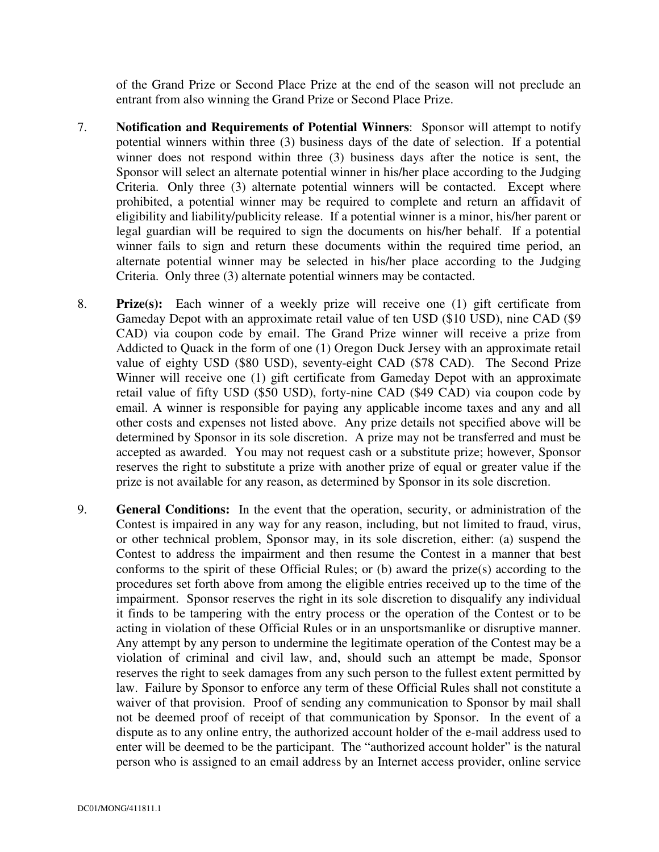of the Grand Prize or Second Place Prize at the end of the season will not preclude an entrant from also winning the Grand Prize or Second Place Prize.

- 7. **Notification and Requirements of Potential Winners**: Sponsor will attempt to notify potential winners within three (3) business days of the date of selection. If a potential winner does not respond within three (3) business days after the notice is sent, the Sponsor will select an alternate potential winner in his/her place according to the Judging Criteria. Only three (3) alternate potential winners will be contacted. Except where prohibited, a potential winner may be required to complete and return an affidavit of eligibility and liability/publicity release. If a potential winner is a minor, his/her parent or legal guardian will be required to sign the documents on his/her behalf. If a potential winner fails to sign and return these documents within the required time period, an alternate potential winner may be selected in his/her place according to the Judging Criteria. Only three (3) alternate potential winners may be contacted.
- 8. **Prize(s):** Each winner of a weekly prize will receive one (1) gift certificate from Gameday Depot with an approximate retail value of ten USD (\$10 USD), nine CAD (\$9 CAD) via coupon code by email. The Grand Prize winner will receive a prize from Addicted to Quack in the form of one (1) Oregon Duck Jersey with an approximate retail value of eighty USD (\$80 USD), seventy-eight CAD (\$78 CAD). The Second Prize Winner will receive one (1) gift certificate from Gameday Depot with an approximate retail value of fifty USD (\$50 USD), forty-nine CAD (\$49 CAD) via coupon code by email. A winner is responsible for paying any applicable income taxes and any and all other costs and expenses not listed above. Any prize details not specified above will be determined by Sponsor in its sole discretion. A prize may not be transferred and must be accepted as awarded. You may not request cash or a substitute prize; however, Sponsor reserves the right to substitute a prize with another prize of equal or greater value if the prize is not available for any reason, as determined by Sponsor in its sole discretion.
- 9. **General Conditions:** In the event that the operation, security, or administration of the Contest is impaired in any way for any reason, including, but not limited to fraud, virus, or other technical problem, Sponsor may, in its sole discretion, either: (a) suspend the Contest to address the impairment and then resume the Contest in a manner that best conforms to the spirit of these Official Rules; or (b) award the prize(s) according to the procedures set forth above from among the eligible entries received up to the time of the impairment. Sponsor reserves the right in its sole discretion to disqualify any individual it finds to be tampering with the entry process or the operation of the Contest or to be acting in violation of these Official Rules or in an unsportsmanlike or disruptive manner. Any attempt by any person to undermine the legitimate operation of the Contest may be a violation of criminal and civil law, and, should such an attempt be made, Sponsor reserves the right to seek damages from any such person to the fullest extent permitted by law. Failure by Sponsor to enforce any term of these Official Rules shall not constitute a waiver of that provision. Proof of sending any communication to Sponsor by mail shall not be deemed proof of receipt of that communication by Sponsor. In the event of a dispute as to any online entry, the authorized account holder of the e-mail address used to enter will be deemed to be the participant. The "authorized account holder" is the natural person who is assigned to an email address by an Internet access provider, online service